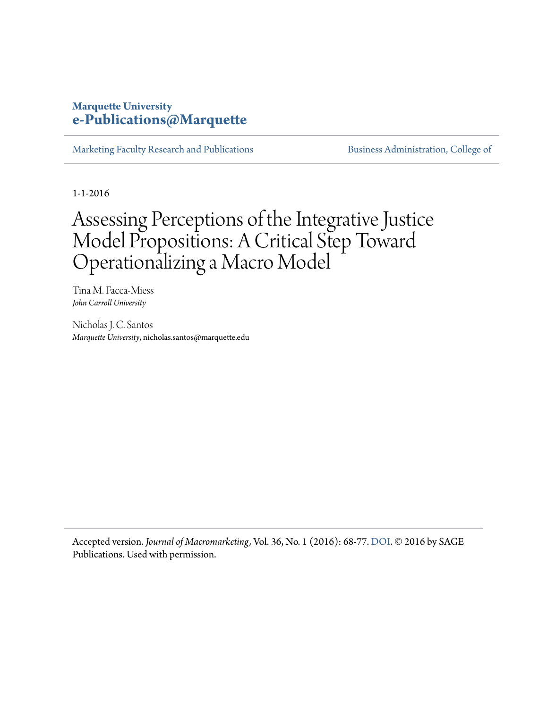### **Marquette University [e-Publications@Marquette](http://epublications.marquette.edu)**

[Marketing Faculty Research and Publications](http://epublications.marquette.edu/market_fac) **Business Administration**, College of

1-1-2016

## Assessing Perceptions of the Integrative Justice Model Propositions: A Critical Step Toward Operationalizing a Macro Model

Tina M. Facca-Miess *John Carroll University*

Nicholas J. C. Santos *Marquette University*, nicholas.santos@marquette.edu

Accepted version. *Journal of Macromarketing,* Vol. 36, No. 1 (2016): 68-77. [DOI](http://dx.doi.org/10.1177/0276146715622666). © 2016 by SAGE Publications. Used with permission.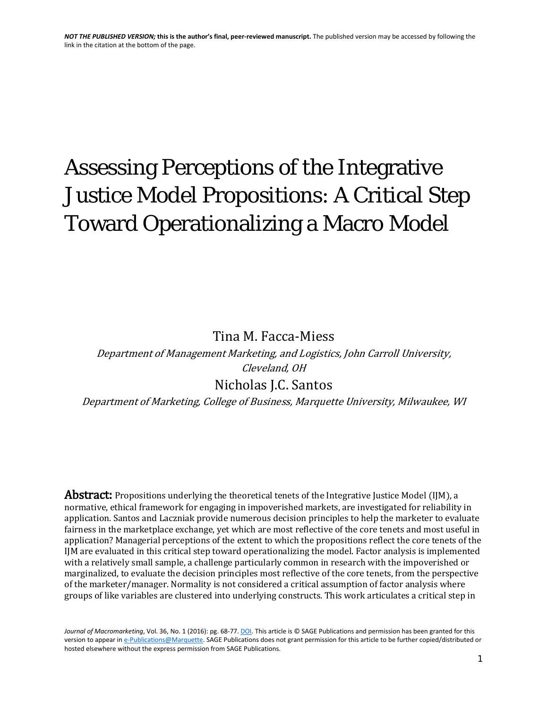# Assessing Perceptions of the Integrative Justice Model Propositions: A Critical Step Toward Operationalizing a Macro Model

Tina M. Facca-Miess

Department of Management Marketing, and Logistics, John Carroll University, Cleveland, OH

## Nicholas J.C. Santos

Department of Marketing, College of Business, Marquette University, Milwaukee, WI

**Abstract:** Propositions underlying the theoretical tenets of the Integrative Justice Model (IJM), a normative, ethical framework for engaging in impoverished markets, are investigated for reliability in application. Santos and Laczniak provide numerous decision principles to help the marketer to evaluate fairness in the marketplace exchange, yet which are most reflective of the core tenets and most useful in application? Managerial perceptions of the extent to which the propositions reflect the core tenets of the IJM are evaluated in this critical step toward operationalizing the model. Factor analysis is implemented with a relatively small sample, a challenge particularly common in research with the impoverished or marginalized, to evaluate the decision principles most reflective of the core tenets, from the perspective of the marketer/manager. Normality is not considered a critical assumption of factor analysis where groups of like variables are clustered into underlying constructs. This work articulates a critical step in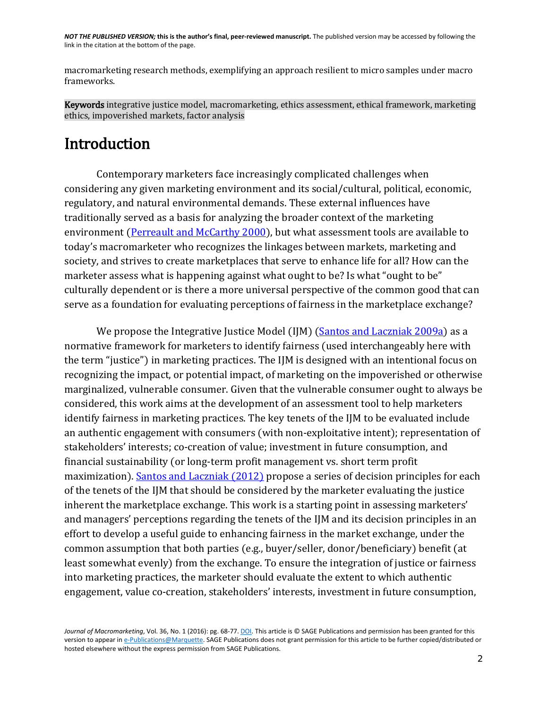macromarketing research methods, exemplifying an approach resilient to micro samples under macro frameworks.

Keywords [integrative justice model,](http://journals.sagepub.com/keyword/Integrative+Justice+Model) [macromarketing,](http://journals.sagepub.com/keyword/Macromarketing) [ethics assessment,](http://journals.sagepub.com/keyword/Ethics+Assessment) [ethical framework,](http://journals.sagepub.com/keyword/Ethical+Framework) [marketing](http://journals.sagepub.com/keyword/Marketing+Ethics)  [ethics,](http://journals.sagepub.com/keyword/Marketing+Ethics) [impoverished markets,](http://journals.sagepub.com/keyword/Impoverished+Markets) [factor analysis](http://journals.sagepub.com/keyword/Factor+Analysis)

## Introduction

Contemporary marketers face increasingly complicated challenges when considering any given marketing environment and its social/cultural, political, economic, regulatory, and natural environmental demands. These external influences have traditionally served as a basis for analyzing the broader context of the marketing environment [\(Perreault and McCarthy 2000\)](http://journals.sagepub.com/doi/10.1177/0276146715622666), but what assessment tools are available to today's macromarketer who recognizes the linkages between markets, marketing and society, and strives to create marketplaces that serve to enhance life for all? How can the marketer assess what is happening against what ought to be? Is what "ought to be" culturally dependent or is there a more universal perspective of the common good that can serve as a foundation for evaluating perceptions of fairness in the marketplace exchange?

We propose the Integrative Justice Model (IJM) [\(Santos and Laczniak 2009a\)](http://journals.sagepub.com/doi/10.1177/0276146715622666) as a normative framework for marketers to identify fairness (used interchangeably here with the term "justice") in marketing practices. The IJM is designed with an intentional focus on recognizing the impact, or potential impact, of marketing on the impoverished or otherwise marginalized, vulnerable consumer. Given that the vulnerable consumer ought to always be considered, this work aims at the development of an assessment tool to help marketers identify fairness in marketing practices. The key tenets of the IJM to be evaluated include an authentic engagement with consumers (with non-exploitative intent); representation of stakeholders' interests; co-creation of value; investment in future consumption, and financial sustainability (or long-term profit management vs. short term profit maximization). Santos [and Laczniak \(2012\)](http://journals.sagepub.com/doi/10.1177/0276146715622666) propose a series of decision principles for each of the tenets of the IJM that should be considered by the marketer evaluating the justice inherent the marketplace exchange. This work is a starting point in assessing marketers' and managers' perceptions regarding the tenets of the IJM and its decision principles in an effort to develop a useful guide to enhancing fairness in the market exchange, under the common assumption that both parties (e.g., buyer/seller, donor/beneficiary) benefit (at least somewhat evenly) from the exchange. To ensure the integration of justice or fairness into marketing practices, the marketer should evaluate the extent to which authentic engagement, value co-creation, stakeholders' interests, investment in future consumption,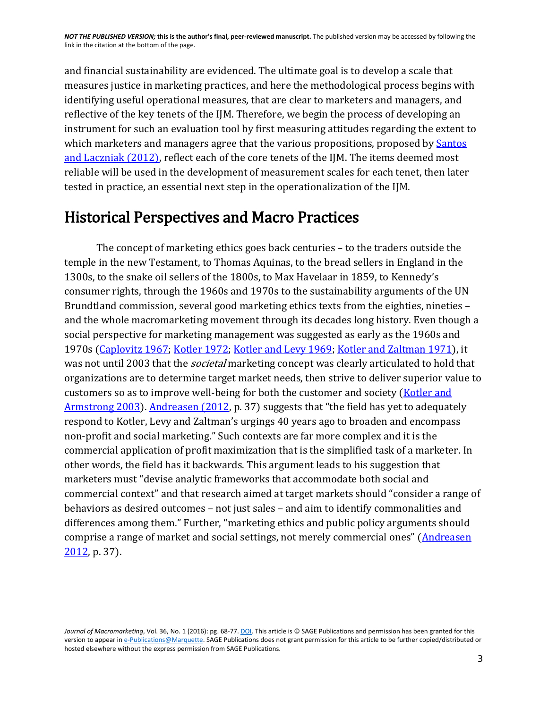and financial sustainability are evidenced. The ultimate goal is to develop a scale that measures justice in marketing practices, and here the methodological process begins with identifying useful operational measures, that are clear to marketers and managers, and reflective of the key tenets of the IJM. Therefore, we begin the process of developing an instrument for such an evaluation tool by first measuring attitudes regarding the extent to which marketers and managers agree that the various propositions, proposed by Santos [and Laczniak \(2012\),](http://journals.sagepub.com/doi/10.1177/0276146715622666) reflect each of the core tenets of the IJM. The items deemed most reliable will be used in the development of measurement scales for each tenet, then later tested in practice, an essential next step in the operationalization of the IJM.

## Historical Perspectives and Macro Practices

The concept of marketing ethics goes back centuries – to the traders outside the temple in the new Testament, to Thomas Aquinas, to the bread sellers in England in the 1300s, to the snake oil sellers of the 1800s, to Max Havelaar in 1859, to Kennedy's consumer rights, through the 1960s and 1970s to the sustainability arguments of the UN Brundtland commission, several good marketing ethics texts from the eighties, nineties – and the whole macromarketing movement through its decades long history. Even though a social perspective for marketing management was suggested as early as the 1960s and 1970s [\(Caplovitz 1967; Kotler 1972; Kotler and Levy 1969; Kotler and Zaltman 1971\)](http://journals.sagepub.com/doi/10.1177/0276146715622666), it was not until 2003 that the *societal* marketing concept was clearly articulated to hold that organizations are to determine target market needs, then strive to deliver superior value to customers so as to improve well-being for both the customer and society (Kotler and [Armstrong 2003\)](http://journals.sagepub.com/doi/10.1177/0276146715622666). [Andreasen \(2012,](http://journals.sagepub.com/doi/10.1177/0276146715622666) p. 37) suggests that "the field has yet to adequately respond to Kotler, Levy and Zaltman's urgings 40 years ago to broaden and encompass non-profit and social marketing." Such contexts are far more complex and it is the commercial application of profit maximization that is the simplified task of a marketer. In other words, the field has it backwards. This argument leads to his suggestion that marketers must "devise analytic frameworks that accommodate both social and commercial context" and that research aimed at target markets should "consider a range of behaviors as desired outcomes – not just sales – and aim to identify commonalities and differences among them." Further, "marketing ethics and public policy arguments should comprise a range of market and social settings, not merely commercial ones" (Andreasen [2012,](http://journals.sagepub.com/doi/10.1177/0276146715622666) p. 37).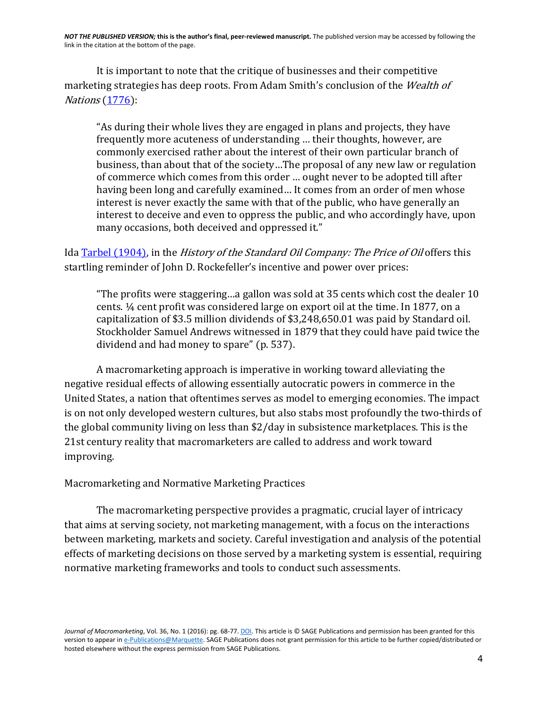It is important to note that the critique of businesses and their competitive marketing strategies has deep roots. From Adam Smith's conclusion of the Wealth of Nations [\(1776\)](http://journals.sagepub.com/doi/10.1177/0276146715622666):

"As during their whole lives they are engaged in plans and projects, they have frequently more acuteness of understanding … their thoughts, however, are commonly exercised rather about the interest of their own particular branch of business, than about that of the society…The proposal of any new law or regulation of commerce which comes from this order … ought never to be adopted till after having been long and carefully examined… It comes from an order of men whose interest is never exactly the same with that of the public, who have generally an interest to deceive and even to oppress the public, and who accordingly have, upon many occasions, both deceived and oppressed it."

Ida [Tarbel \(1904\),](http://journals.sagepub.com/doi/10.1177/0276146715622666) in the History of the Standard Oil Company: The Price of Oil offers this startling reminder of John D. Rockefeller's incentive and power over prices:

"The profits were staggering…a gallon was sold at 35 cents which cost the dealer 10 cents. ¼ cent profit was considered large on export oil at the time. In 1877, on a capitalization of \$3.5 million dividends of \$3,248,650.01 was paid by Standard oil. Stockholder Samuel Andrews witnessed in 1879 that they could have paid twice the dividend and had money to spare" (p. 537).

A macromarketing approach is imperative in working toward alleviating the negative residual effects of allowing essentially autocratic powers in commerce in the United States, a nation that oftentimes serves as model to emerging economies. The impact is on not only developed western cultures, but also stabs most profoundly the two-thirds of the global community living on less than \$2/day in subsistence marketplaces. This is the 21st century reality that macromarketers are called to address and work toward improving.

### Macromarketing and Normative Marketing Practices

The macromarketing perspective provides a pragmatic, crucial layer of intricacy that aims at serving society, not marketing management, with a focus on the interactions between marketing, markets and society. Careful investigation and analysis of the potential effects of marketing decisions on those served by a marketing system is essential, requiring normative marketing frameworks and tools to conduct such assessments.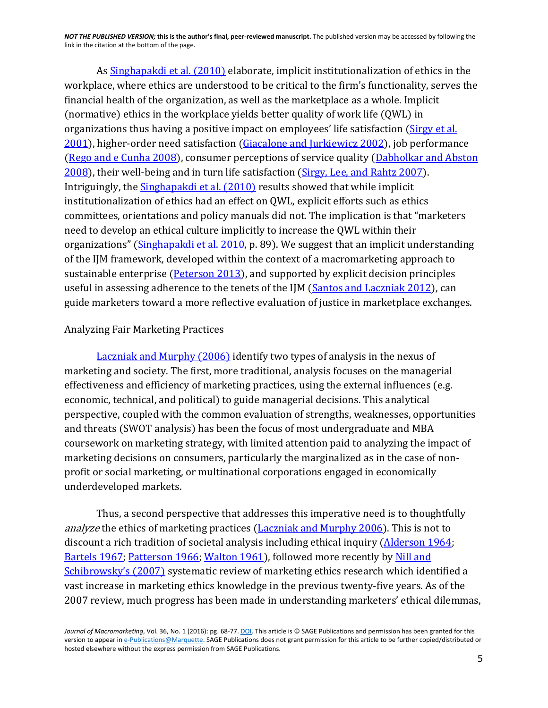As [Singhapakdi et al. \(2010\)](http://journals.sagepub.com/doi/10.1177/0276146715622666) elaborate, implicit institutionalization of ethics in the workplace, where ethics are understood to be critical to the firm's functionality, serves the financial health of the organization, as well as the marketplace as a whole. Implicit (normative) ethics in the workplace yields better quality of work life (QWL) in organizations thus having a positive impact on employees' life satisfaction [\(Sirgy et al.](http://journals.sagepub.com/doi/10.1177/0276146715622666)  [2001\)](http://journals.sagepub.com/doi/10.1177/0276146715622666), higher-order need satisfaction [\(Giacalone and Jurkiewicz 2002\)](http://journals.sagepub.com/doi/10.1177/0276146715622666), job performance [\(Rego and e Cunha 2008\)](http://journals.sagepub.com/doi/10.1177/0276146715622666), consumer perceptions of service quality [\(Dabholkar and Abston](http://journals.sagepub.com/doi/10.1177/0276146715622666)  [2008\)](http://journals.sagepub.com/doi/10.1177/0276146715622666), their well-being and in turn life satisfaction [\(Sirgy, Lee, and Rahtz 2007\)](http://journals.sagepub.com/doi/10.1177/0276146715622666). Intriguingly, the [Singhapakdi et al. \(2010\)](http://journals.sagepub.com/doi/10.1177/0276146715622666) results showed that while implicit institutionalization of ethics had an effect on QWL, explicit efforts such as ethics committees, orientations and policy manuals did not. The implication is that "marketers need to develop an ethical culture implicitly to increase the QWL within their organizations" [\(Singhapakdi et al. 2010,](http://journals.sagepub.com/doi/10.1177/0276146715622666) p. 89). We suggest that an implicit understanding of the IJM framework, developed within the context of a macromarketing approach to sustainable enterprise [\(Peterson 2013\)](http://journals.sagepub.com/doi/10.1177/0276146715622666), and supported by explicit decision principles useful in assessing adherence to the tenets of the IJM (**Santos and Laczniak 2012**), can guide marketers toward a more reflective evaluation of justice in marketplace exchanges.

### Analyzing Fair Marketing Practices

[Laczniak and Murphy \(2006\)](http://journals.sagepub.com/doi/10.1177/0276146715622666) identify two types of analysis in the nexus of marketing and society. The first, more traditional, analysis focuses on the managerial effectiveness and efficiency of marketing practices, using the external influences (e.g. economic, technical, and political) to guide managerial decisions. This analytical perspective, coupled with the common evaluation of strengths, weaknesses, opportunities and threats (SWOT analysis) has been the focus of most undergraduate and MBA coursework on marketing strategy, with limited attention paid to analyzing the impact of marketing decisions on consumers, particularly the marginalized as in the case of nonprofit or social marketing, or multinational corporations engaged in economically underdeveloped markets.

Thus, a second perspective that addresses this imperative need is to thoughtfully analyze the ethics of marketing practices [\(Laczniak and Murphy 2006\)](http://journals.sagepub.com/doi/10.1177/0276146715622666). This is not to discount a rich tradition of societal analysis including ethical inquiry [\(Alderson 1964;](http://journals.sagepub.com/doi/10.1177/0276146715622666) [Bartels 1967; Patterson 1966; Walton 1961\)](http://journals.sagepub.com/doi/10.1177/0276146715622666), followed more recently by [Nill and](http://journals.sagepub.com/doi/10.1177/0276146715622666)  [Schibrowsky's \(2007\)](http://journals.sagepub.com/doi/10.1177/0276146715622666) systematic review of marketing ethics research which identified a vast increase in marketing ethics knowledge in the previous twenty-five years. As of the 2007 review, much progress has been made in understanding marketers' ethical dilemmas,

Journal of Macromarketing, Vol. 36, No. 1 (2016): pg. 68-77. **DOI**. This article is © SAGE Publications and permission has been granted for this version to appear in [e-Publications@Marquette.](http://epublications.marquette.edu/) SAGE Publications does not grant permission for this article to be further copied/distributed or hosted elsewhere without the express permission from SAGE Publications.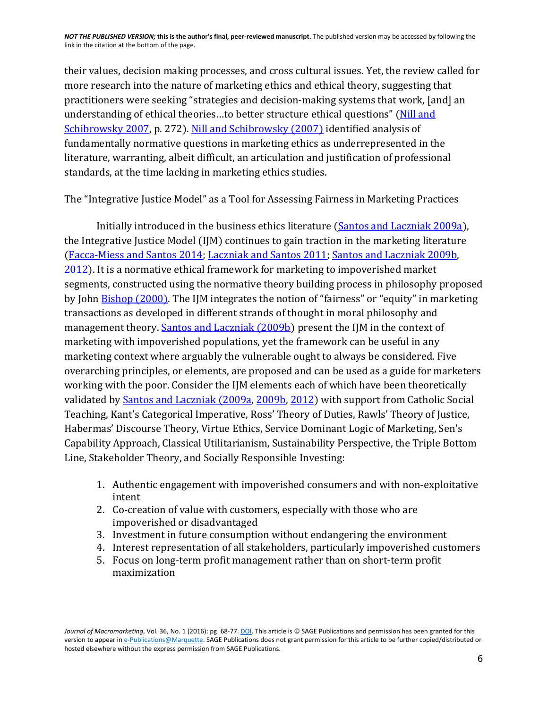their values, decision making processes, and cross cultural issues. Yet, the review called for more research into the nature of marketing ethics and ethical theory, suggesting that practitioners were seeking "strategies and decision-making systems that work, [and] an understanding of ethical theories…to better structure ethical questions" [\(Nill and](http://journals.sagepub.com/doi/10.1177/0276146715622666)  [Schibrowsky 2007,](http://journals.sagepub.com/doi/10.1177/0276146715622666) p. 272). [Nill and Schibrowsky \(2007\)](http://journals.sagepub.com/doi/10.1177/0276146715622666) identified analysis of fundamentally normative questions in marketing ethics as underrepresented in the literature, warranting, albeit difficult, an articulation and justification of professional standards, at the time lacking in marketing ethics studies.

The "Integrative Justice Model" as a Tool for Assessing Fairness in Marketing Practices

Initially introduced in the business ethics literature [\(Santos and Laczniak 2009a\)](http://journals.sagepub.com/doi/10.1177/0276146715622666), the Integrative Justice Model (IJM) continues to gain traction in the marketing literature [\(Facca-Miess and Santos 2014; Laczniak and Santos 2011; Santos and Laczniak 2009b,](http://journals.sagepub.com/doi/10.1177/0276146715622666) [2012\)](http://journals.sagepub.com/doi/10.1177/0276146715622666). It is a normative ethical framework for marketing to impoverished market segments, constructed using the normative theory building process in philosophy proposed by John [Bishop \(2000\).](http://journals.sagepub.com/doi/10.1177/0276146715622666) The IJM integrates the notion of "fairness" or "equity" in marketing transactions as developed in different strands of thought in moral philosophy and management theory. [Santos and Laczniak \(2009b\)](http://journals.sagepub.com/doi/10.1177/0276146715622666) present the IJM in the context of marketing with impoverished populations, yet the framework can be useful in any marketing context where arguably the vulnerable ought to always be considered. Five overarching principles, or elements, are proposed and can be used as a guide for marketers working with the poor. Consider the IJM elements each of which have been theoretically validated by [Santos and Laczniak \(2009a, 2009b, 2012\)](http://journals.sagepub.com/doi/10.1177/0276146715622666) with support from Catholic Social Teaching, Kant's Categorical Imperative, Ross' Theory of Duties, Rawls' Theory of Justice, Habermas' Discourse Theory, Virtue Ethics, Service Dominant Logic of Marketing, Sen's Capability Approach, Classical Utilitarianism, Sustainability Perspective, the Triple Bottom Line, Stakeholder Theory, and Socially Responsible Investing:

- 1. Authentic engagement with impoverished consumers and with non-exploitative intent
- 2. Co-creation of value with customers, especially with those who are impoverished or disadvantaged
- 3. Investment in future consumption without endangering the environment
- 4. Interest representation of all stakeholders, particularly impoverished customers
- 5. Focus on long-term profit management rather than on short-term profit maximization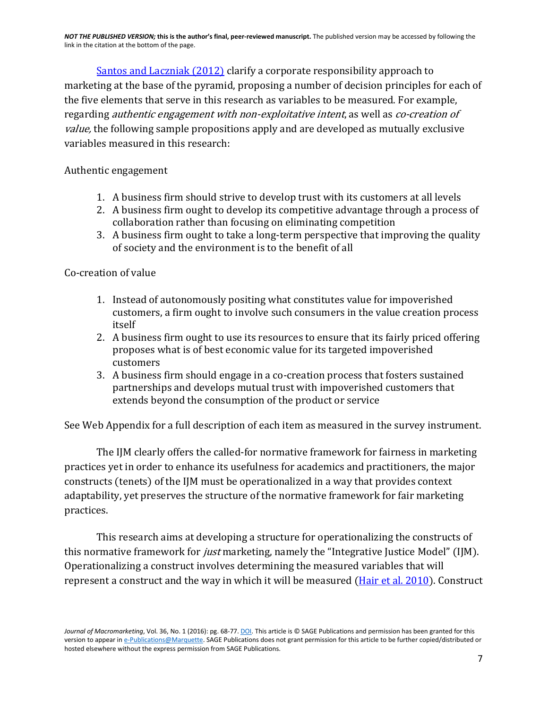[Santos and Laczniak \(2012\)](http://journals.sagepub.com/doi/10.1177/0276146715622666) clarify a corporate responsibility approach to marketing at the base of the pyramid, proposing a number of decision principles for each of the five elements that serve in this research as variables to be measured. For example, regarding authentic engagement with non-exploitative intent, as well as co-creation of value, the following sample propositions apply and are developed as mutually exclusive variables measured in this research:

### Authentic engagement

- 1. A business firm should strive to develop trust with its customers at all levels
- 2. A business firm ought to develop its competitive advantage through a process of collaboration rather than focusing on eliminating competition
- 3. A business firm ought to take a long-term perspective that improving the quality of society and the environment is to the benefit of all

### Co-creation of value

- 1. Instead of autonomously positing what constitutes value for impoverished customers, a firm ought to involve such consumers in the value creation process itself
- 2. A business firm ought to use its resources to ensure that its fairly priced offering proposes what is of best economic value for its targeted impoverished customers
- 3. A business firm should engage in a co-creation process that fosters sustained partnerships and develops mutual trust with impoverished customers that extends beyond the consumption of the product or service

See Web Appendix for a full description of each item as measured in the survey instrument.

The IJM clearly offers the called-for normative framework for fairness in marketing practices yet in order to enhance its usefulness for academics and practitioners, the major constructs (tenets) of the IJM must be operationalized in a way that provides context adaptability, yet preserves the structure of the normative framework for fair marketing practices.

This research aims at developing a structure for operationalizing the constructs of this normative framework for *just* marketing, namely the "Integrative Justice Model" (IJM). Operationalizing a construct involves determining the measured variables that will represent a construct and the way in which it will be measured [\(Hair et al. 2010\)](http://journals.sagepub.com/doi/10.1177/0276146715622666). Construct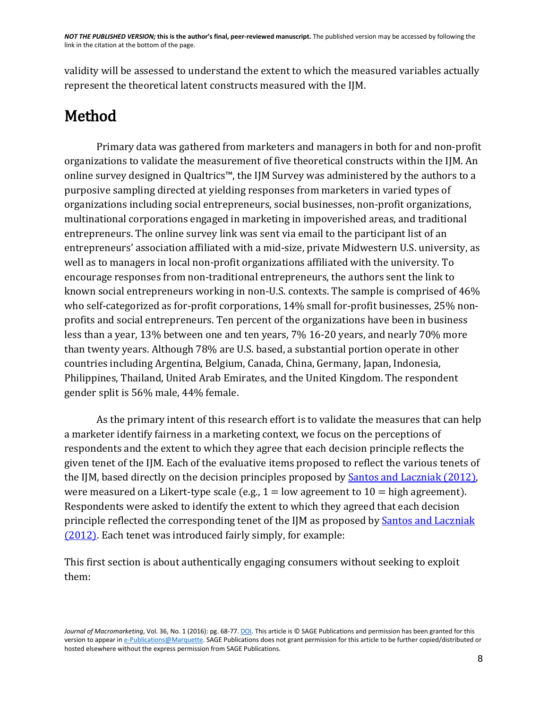validity will be assessed to understand the extent to which the measured variables actually represent the theoretical latent constructs measured with the IJM.

## Method

Primary data was gathered from marketers and managers in both for and non-profit organizations to validate the measurement of five theoretical constructs within the IJM. An online survey designed in Qualtrics™, the IJM Survey was administered by the authors to a purposive sampling directed at yielding responses from marketers in varied types of organizations including social entrepreneurs, social businesses, non-profit organizations, multinational corporations engaged in marketing in impoverished areas, and traditional entrepreneurs. The online survey link was sent via email to the participant list of an entrepreneurs' association affiliated with a mid-size, private Midwestern U.S. university, as well as to managers in local non-profit organizations affiliated with the university. To encourage responses from non-traditional entrepreneurs, the authors sent the link to known social entrepreneurs working in non-U.S. contexts. The sample is comprised of 46% who self-categorized as for-profit corporations, 14% small for-profit businesses, 25% nonprofits and social entrepreneurs. Ten percent of the organizations have been in business less than a year, 13% between one and ten years, 7% 16-20 years, and nearly 70% more than twenty years. Although 78% are U.S. based, a substantial portion operate in other countries including Argentina, Belgium, Canada, China, Germany, Japan, Indonesia, Philippines, Thailand, United Arab Emirates, and the United Kingdom. The respondent gender split is 56% male, 44% female.

As the primary intent of this research effort is to validate the measures that can help a marketer identify fairness in a marketing context, we focus on the perceptions of respondents and the extent to which they agree that each decision principle reflects the given tenet of the IJM. Each of the evaluative items proposed to reflect the various tenets of the IJM, based directly on the decision principles proposed by Santos and Laczniak (2012). were measured on a Likert-type scale (e.g.,  $1 =$  low agreement to  $10 =$  high agreement). Respondents were asked to identify the extent to which they agreed that each decision principle reflected the corresponding tenet of the IJM as proposed by **Santos and Laczniak** [\(2012\).](http://journals.sagepub.com/doi/10.1177/0276146715622666) Each tenet was introduced fairly simply, for example:

This first section is about authentically engaging consumers without seeking to exploit them:

*Journal of Macromarketing*, Vol. 36, No. 1 (2016): pg. 68-77[. DOI.](https://doi.org/10.1177/0276146715622666) This article is © SAGE Publications and permission has been granted for this version to appear in [e-Publications@Marquette.](http://epublications.marquette.edu/) SAGE Publications does not grant permission for this article to be further copied/distributed or hosted elsewhere without the express permission from SAGE Publications.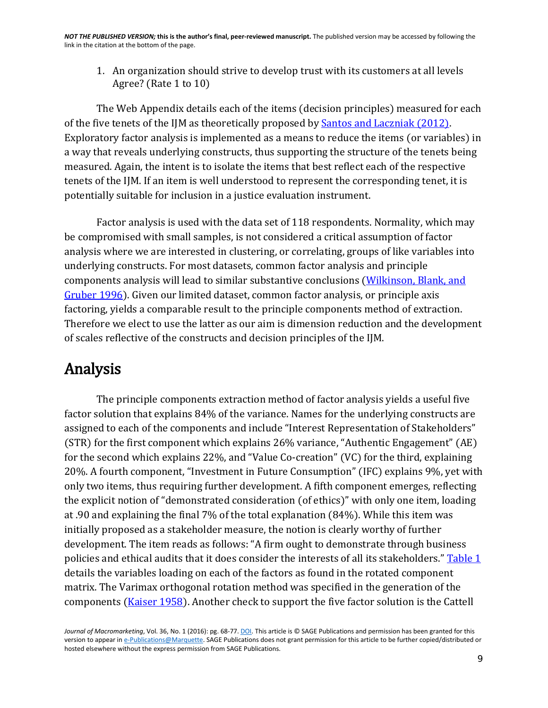1. An organization should strive to develop trust with its customers at all levels Agree? (Rate 1 to 10)

The Web Appendix details each of the items (decision principles) measured for each of the five tenets of the IJM as theoretically proposed by [Santos and Laczniak \(2012\).](http://journals.sagepub.com/doi/10.1177/0276146715622666) Exploratory factor analysis is implemented as a means to reduce the items (or variables) in a way that reveals underlying constructs, thus supporting the structure of the tenets being measured. Again, the intent is to isolate the items that best reflect each of the respective tenets of the IJM. If an item is well understood to represent the corresponding tenet, it is potentially suitable for inclusion in a justice evaluation instrument.

Factor analysis is used with the data set of 118 respondents. Normality, which may be compromised with small samples, is not considered a critical assumption of factor analysis where we are interested in clustering, or correlating, groups of like variables into underlying constructs. For most datasets, common factor analysis and principle components analysis will lead to similar substantive conclusions [\(Wilkinson, Blank, and](http://journals.sagepub.com/doi/10.1177/0276146715622666)  [Gruber 1996\)](http://journals.sagepub.com/doi/10.1177/0276146715622666). Given our limited dataset, common factor analysis, or principle axis factoring, yields a comparable result to the principle components method of extraction. Therefore we elect to use the latter as our aim is dimension reduction and the development of scales reflective of the constructs and decision principles of the IJM.

## Analysis

The principle components extraction method of factor analysis yields a useful five factor solution that explains 84% of the variance. Names for the underlying constructs are assigned to each of the components and include "Interest Representation of Stakeholders" (STR) for the first component which explains 26% variance, "Authentic Engagement" (AE) for the second which explains 22%, and "Value Co-creation" (VC) for the third, explaining 20%. A fourth component, "Investment in Future Consumption" (IFC) explains 9%, yet with only two items, thus requiring further development. A fifth component emerges, reflecting the explicit notion of "demonstrated consideration (of ethics)" with only one item, loading at .90 and explaining the final 7% of the total explanation (84%). While this item was initially proposed as a stakeholder measure, the notion is clearly worthy of further development. The item reads as follows: "A firm ought to demonstrate through business policies and ethical audits that it does consider the interests of all its stakeholders." [Table 1](http://journals.sagepub.com/doi/10.1177/0276146715622666) details the variables loading on each of the factors as found in the rotated component matrix. The Varimax orthogonal rotation method was specified in the generation of the components [\(Kaiser 1958\)](http://journals.sagepub.com/doi/10.1177/0276146715622666). Another check to support the five factor solution is the Cattell

*Journal of Macromarketing*, Vol. 36, No. 1 (2016): pg. 68-77[. DOI.](https://doi.org/10.1177/0276146715622666) This article is © SAGE Publications and permission has been granted for this version to appear in [e-Publications@Marquette.](http://epublications.marquette.edu/) SAGE Publications does not grant permission for this article to be further copied/distributed or hosted elsewhere without the express permission from SAGE Publications.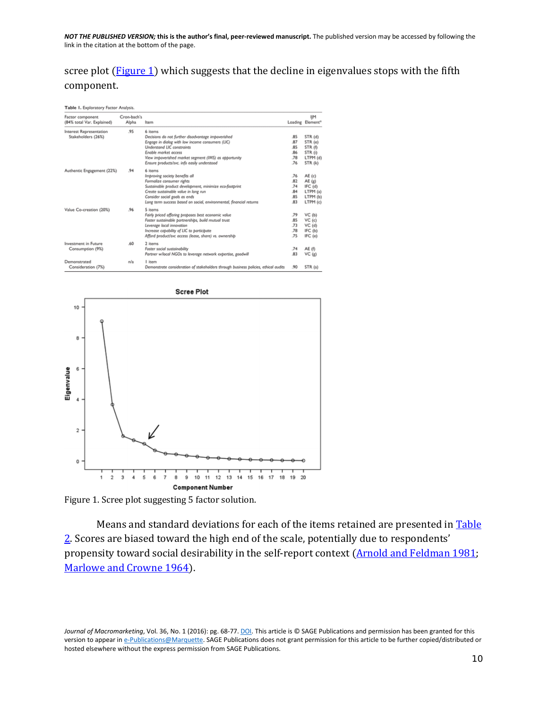### scree plot  $(Figure 1)$  which suggests that the decline in eigenvalues stops with the fifth component.

| Table 1. Exploratory Factor Analysis.          |                      |                                                                                                                                                                                                                                                                                   |                                        |                                                                |  |  |
|------------------------------------------------|----------------------|-----------------------------------------------------------------------------------------------------------------------------------------------------------------------------------------------------------------------------------------------------------------------------------|----------------------------------------|----------------------------------------------------------------|--|--|
| Factor component<br>(84% total Var. Explained) | Cron-bach's<br>Alpha | Item                                                                                                                                                                                                                                                                              |                                        | IIM<br>Loading Element®                                        |  |  |
| Interest Representation<br>Stakeholders (26%)  | .95                  | 6 items<br>Decisions do not further disadvantage impoverished<br>Engage in dialog with low income consumers (LIC)<br>Understand LIC constraints<br>Enable market access<br>View impoverished market segment (IMS) as opportunity<br>Ensure products/svc. info easily understood   | .85<br>.87<br>.85<br>.86<br>.78<br>.76 | STR (d)<br>STR (e)<br>STR (f)<br>STR(i)<br>LTPM (d)<br>STR (k) |  |  |
| Authentic Engagement (22%)                     | .94                  | 6 items<br>Improving society benefits all<br>Formalize consumer rights<br>Sustainable product development, minimize eco-footprint<br>Create sustainable value in long run<br>Consider social goals as ends<br>Long term success based on social, environmental, financial returns | .76<br>.82<br>.74<br>.84<br>.85<br>.83 | AE(c)<br>AE(g)<br>IFC (d)<br>LTPM (a)<br>LTPM (b)<br>LTPM (c)  |  |  |
| Value Co-creation (20%)                        | .96                  | 5 items<br>Fairly priced offering proposes best economic value<br>Foster sustainable partnerships, build mutual trust<br>Leverage local innovation<br>Increase capability of LIC to participate<br>Afford product/svc access (lease, share) vs. ownership                         | .79<br>.85<br>.73<br>.78<br>.75        | VC (b)<br>$VC$ (c)<br>VC (d)<br>IFC (b)<br>IFC(e)              |  |  |
| Investment in Future<br>Consumption (9%)       | .60                  | 2 items<br>Foster social sustainability<br>Partner w/local NGOs to leverage network expertise, goodwill                                                                                                                                                                           | .74<br>.83                             | AE (f)<br>VC (g)                                               |  |  |
| Demonstrated<br>Consideration (7%)             | n/a                  | I item<br>Demonstrate consideration of stakeholders through business policies, ethical audits                                                                                                                                                                                     | .90                                    | STR (a)                                                        |  |  |



Figure 1. Scree plot suggesting 5 factor solution.

Means and standard deviations for each of the items retained are presented in [Table](http://journals.sagepub.com/doi/10.1177/0276146715622666)  [2.](http://journals.sagepub.com/doi/10.1177/0276146715622666) Scores are biased toward the high end of the scale, potentially due to respondents' propensity toward social desirability in the self-report context (**Arnold and Feldman 1981**; [Marlowe and Crowne 1964\)](http://journals.sagepub.com/doi/10.1177/0276146715622666).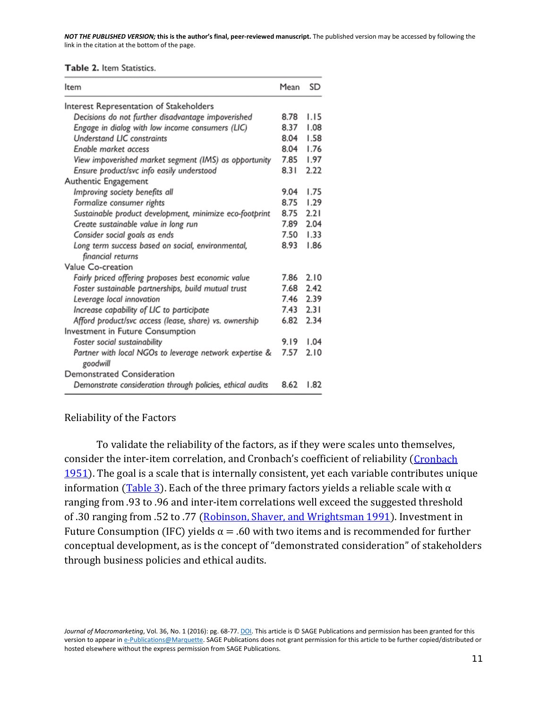#### Table 2. Item Statistics.

| Item                                                                | Mean | SD   |
|---------------------------------------------------------------------|------|------|
| Interest Representation of Stakeholders                             |      |      |
| Decisions do not further disadvantage impoverished                  | 8.78 | 1.15 |
| Engage in dialog with low income consumers (LIC)                    | 8.37 | 1.08 |
| Understand LIC constraints                                          | 8.04 | 1.58 |
| Enable market access                                                | 8.04 | 1.76 |
| View impoverished market segment (IMS) as opportunity               | 7.85 | 1.97 |
| Ensure product/svc info easily understood                           | 8.31 | 2.22 |
| Authentic Engagement                                                |      |      |
| Improving society benefits all                                      | 9.04 | 1.75 |
| Formalize consumer rights                                           | 8.75 | 1.29 |
| Sustainable product development, minimize eco-footprint             | 8.75 | 2.21 |
| Create sustainable value in long run                                | 7.89 | 2.04 |
| Consider social goals as ends                                       | 7.50 | 1.33 |
| Long term success based on social, environmental,                   |      | 1.86 |
| financial returns                                                   |      |      |
| Value Co-creation                                                   |      |      |
| Fairly priced offering proposes best economic value                 | 7.86 | 2.10 |
| Foster sustainable partnerships, build mutual trust                 | 7.68 | 2.42 |
| Leverage local innovation                                           |      | 2.39 |
| Increase capability of LIC to participate                           |      | 2.31 |
| Afford product/svc access (lease, share) vs. ownership              | 6.82 | 2.34 |
| Investment in Future Consumption                                    |      |      |
| Foster social sustainability                                        | 9.19 | 1.04 |
| Partner with local NGOs to leverage network expertise &<br>goodwill | 7.57 | 2.10 |
| Demonstrated Consideration                                          |      |      |
| Demonstrate consideration through policies, ethical audits          | 8.62 | 1.82 |

#### Reliability of the Factors

To validate the reliability of the factors, as if they were scales unto themselves, consider the inter-item correlation, and Cronbach's coefficient of reliability [\(Cronbach](http://journals.sagepub.com/doi/10.1177/0276146715622666)  [1951\)](http://journals.sagepub.com/doi/10.1177/0276146715622666). The goal is a scale that is internally consistent, yet each variable contributes unique information [\(Table 3](http://journals.sagepub.com/doi/10.1177/0276146715622666)). Each of the three primary factors yields a reliable scale with  $\alpha$ ranging from .93 to .96 and inter-item correlations well exceed the suggested threshold of .30 ranging from .52 to .77 [\(Robinson, Shaver, and Wrightsman 1991\)](http://journals.sagepub.com/doi/10.1177/0276146715622666). Investment in Future Consumption (IFC) yields  $\alpha = .60$  with two items and is recommended for further conceptual development, as is the concept of "demonstrated consideration" of stakeholders through business policies and ethical audits.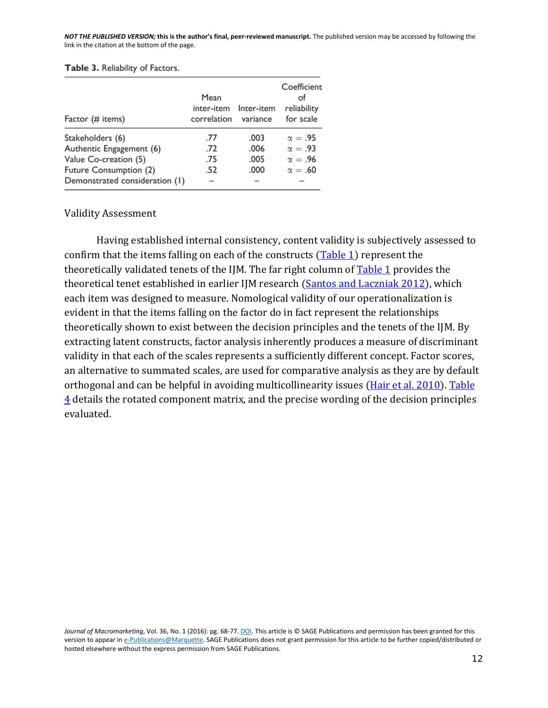#### Table 3. Reliability of Factors.

| Factor (# items)               | Mean<br>inter-item<br>correlation | Inter-item<br>variance | Coefficient<br>of<br>reliability<br>for scale |
|--------------------------------|-----------------------------------|------------------------|-----------------------------------------------|
| Stakeholders (6)               | .77                               | .003                   | $\alpha = .95$                                |
| Authentic Engagement (6)       | .72                               | .006                   | $\alpha = .93$                                |
| Value Co-creation (5)          | .75                               | .005                   | $\alpha = .96$                                |
| Future Consumption (2)         | .52                               | .000                   | $\alpha = .60$                                |
| Demonstrated consideration (1) |                                   |                        |                                               |

#### Validity Assessment

Having established internal consistency, content validity is subjectively assessed to confirm that the items falling on each of the constructs [\(Table 1\)](http://journals.sagepub.com/doi/10.1177/0276146715622666) represent the theoretically validated tenets of the IJM. The far right column o[f Table 1](http://journals.sagepub.com/doi/10.1177/0276146715622666) provides the theoretical tenet established in earlier IJM research [\(Santos and Laczniak 2012\)](http://journals.sagepub.com/doi/10.1177/0276146715622666), which each item was designed to measure. Nomological validity of our operationalization is evident in that the items falling on the factor do in fact represent the relationships theoretically shown to exist between the decision principles and the tenets of the IJM. By extracting latent constructs, factor analysis inherently produces a measure of discriminant validity in that each of the scales represents a sufficiently different concept. Factor scores, an alternative to summated scales, are used for comparative analysis as they are by default orthogonal and can be helpful in avoiding multicollinearity issues [\(Hair et al. 2010\)](http://journals.sagepub.com/doi/10.1177/0276146715622666). [Table](http://journals.sagepub.com/doi/10.1177/0276146715622666)   $\frac{4}{3}$  $\frac{4}{3}$  $\frac{4}{3}$  details the rotated component matrix, and the precise wording of the decision principles evaluated.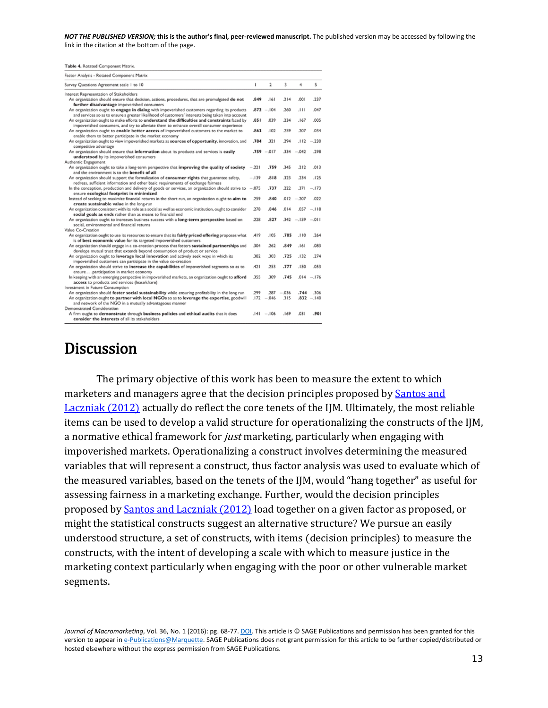Table 4. Rotated Component Matrix

| Factor Analysis - Rotated Component Matrix                                                                                                                                                     |              |                 |                 |                      |                      |
|------------------------------------------------------------------------------------------------------------------------------------------------------------------------------------------------|--------------|-----------------|-----------------|----------------------|----------------------|
| Survey Questions Agreement scale 1 to 10                                                                                                                                                       | ı            | 2               | 3               | 4                    | 5                    |
| Interest Representation of Stakeholders                                                                                                                                                        |              |                 |                 |                      |                      |
| An organization should ensure that decision, actions, procedures, that are promulgated do not                                                                                                  | .849         | .161            | .214            | .001                 | .237                 |
| further disadvantage impoverished consumers                                                                                                                                                    |              |                 |                 |                      |                      |
| An organization ought to engage in dialog with impoverished customers regarding its products                                                                                                   |              | $.872 - .104$   | .260            | 111                  | .047                 |
| and services so as to ensure a greater likelihood of customers' interests being taken into account                                                                                             |              |                 |                 |                      |                      |
| An organization ought to make efforts to understand the difficulties and constraints faced by                                                                                                  | .851         | .039            | .234            | .167                 | 005                  |
| impoverished consumers, and try to alleviate them to enhance overall consumer experience<br>An organization ought to enable better access of impoverished customers to the market to           | .863         | .102            | .259            | .207                 | .034                 |
| enable them to better participate in the market economy                                                                                                                                        |              |                 |                 |                      |                      |
| An organization ought to view impoverished markets as sources of opportunity, innovation, and                                                                                                  | .784         | .321            | .294            | .112                 | $-.230$              |
| competitive advantage                                                                                                                                                                          |              |                 |                 |                      |                      |
| An organization should ensure that information about its products and services is easily                                                                                                       |              | $.759 - 017$    | .334            | $-.042$              | .298                 |
| understood by its impoverished consumers                                                                                                                                                       |              |                 |                 |                      |                      |
| Authentic Engagement                                                                                                                                                                           |              |                 |                 |                      |                      |
| An organization ought to take a long-term perspective that improving the quality of society                                                                                                    | $-.221$      | .759            | .345            | .212                 | .013                 |
| and the environment is to the benefit of all                                                                                                                                                   |              |                 |                 |                      |                      |
| An organization should support the formalization of consumer rights that guarantee safety.                                                                                                     | $-.139$      | .818            | .323            | .234                 | .125                 |
| redress, sufficient information and other basic requirements of exchange fairness                                                                                                              |              |                 |                 |                      |                      |
| In the conception, production and delivery of goods or services, an organization should strive to                                                                                              | $-.075$      | .737            | .222            | .371                 | $-.173$              |
| ensure ecological footprint in minimized                                                                                                                                                       |              |                 |                 |                      |                      |
| Instead of seeking to maximize financial returns in the short run, an organization ought to aim to                                                                                             | .259         | .840            | .012            | $-.207$              | .022                 |
| create sustainable value in the long-run                                                                                                                                                       | .278         | .846            | .014            |                      | $.057 - .118$        |
| An organization consistent with its role as a social as well as economic institution, ought to consider<br>social goals as ends rather than as means to financial end                          |              |                 |                 |                      |                      |
| An organization ought to increases business success with a long-term perspective based on                                                                                                      | .228         | .827            |                 | $.342 - .159 - .011$ |                      |
| social, environmental and financial returns                                                                                                                                                    |              |                 |                 |                      |                      |
| Value Co-Creation                                                                                                                                                                              |              |                 |                 |                      |                      |
| An organization ought to use its resources to ensure that its fairly priced offering proposes what                                                                                             | .419         | .105            | .785            | .110                 | .264                 |
| is of best economic value for its targeted impoverished customers                                                                                                                              |              |                 |                 |                      |                      |
| An organization should engage in a co-creation process that fosters sustained partnerships and                                                                                                 | .304         | .262            | .849            | .161                 | .083                 |
| develops mutual trust that extends beyond consumption of product or service                                                                                                                    |              |                 |                 |                      |                      |
| An organization ought to leverage local innovation and actively seek ways in which its                                                                                                         | .382         | 303             | .725            | .132                 | .274                 |
| impoverished customers can participate in the value co-creation                                                                                                                                |              |                 |                 |                      |                      |
| An organization should strive to increase the capabilities of impoverished segments so as to                                                                                                   | .421         | .253            | .777            | .150                 | .053                 |
| ensureparticipation in market economy                                                                                                                                                          |              |                 |                 |                      |                      |
| In keeping with an emerging perspective in impoverished markets, an organization ought to afford                                                                                               | .355         | .309            | .745            | .014                 | $-.176$              |
| access to products and services (lease/share)                                                                                                                                                  |              |                 |                 |                      |                      |
| Investment in Future Consumption                                                                                                                                                               |              |                 |                 |                      |                      |
| An organization should foster social sustainability while ensuring profitability in the long run<br>An organization ought to partner with local NGOs so as to leverage the expertise, goodwill | .299<br>.172 | .287<br>$-.046$ | $-.036$<br>.315 | .744                 | 306<br>$.832 - .140$ |
| and network of the NGO in a mutually advantageous manner                                                                                                                                       |              |                 |                 |                      |                      |
| Demonstrated Consideration                                                                                                                                                                     |              |                 |                 |                      |                      |
| A firm ought to demonstrate through business policies and ethical audits that it does                                                                                                          |              | $.141 - .106$   | .169            | .031                 | .901                 |
| consider the interests of all its stakeholders                                                                                                                                                 |              |                 |                 |                      |                      |

## **Discussion**

The primary objective of this work has been to measure the extent to which marketers and managers agree that the decision principles proposed by **Santos and** [Laczniak \(2012\)](http://journals.sagepub.com/doi/10.1177/0276146715622666) actually do reflect the core tenets of the IJM. Ultimately, the most reliable items can be used to develop a valid structure for operationalizing the constructs of the IJM, a normative ethical framework for *just* marketing, particularly when engaging with impoverished markets. Operationalizing a construct involves determining the measured variables that will represent a construct, thus factor analysis was used to evaluate which of the measured variables, based on the tenets of the IJM, would "hang together" as useful for assessing fairness in a marketing exchange. Further, would the decision principles proposed b[y Santos and Laczniak \(2012\)](http://journals.sagepub.com/doi/10.1177/0276146715622666) load together on a given factor as proposed, or might the statistical constructs suggest an alternative structure? We pursue an easily understood structure, a set of constructs, with items (decision principles) to measure the constructs, with the intent of developing a scale with which to measure justice in the marketing context particularly when engaging with the poor or other vulnerable market segments.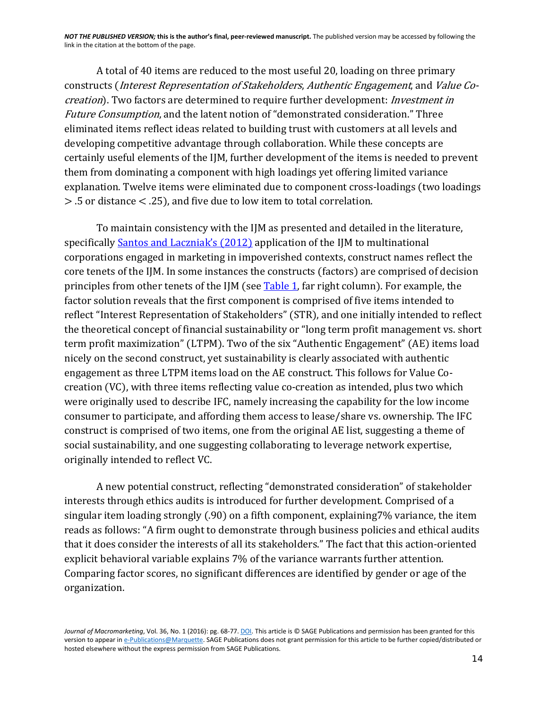A total of 40 items are reduced to the most useful 20, loading on three primary constructs (Interest Representation of Stakeholders, Authentic Engagement, and Value Cocreation). Two factors are determined to require further development: Investment in Future Consumption, and the latent notion of "demonstrated consideration." Three eliminated items reflect ideas related to building trust with customers at all levels and developing competitive advantage through collaboration. While these concepts are certainly useful elements of the IJM, further development of the items is needed to prevent them from dominating a component with high loadings yet offering limited variance explanation. Twelve items were eliminated due to component cross-loadings (two loadings > .5 or distance < .25), and five due to low item to total correlation.

To maintain consistency with the IJM as presented and detailed in the literature, specificall[y Santos and Laczniak's \(2012\)](http://journals.sagepub.com/doi/10.1177/0276146715622666) application of the IJM to multinational corporations engaged in marketing in impoverished contexts, construct names reflect the core tenets of the IJM. In some instances the constructs (factors) are comprised of decision principles from other tenets of the IJM (se[e Table 1,](http://journals.sagepub.com/doi/10.1177/0276146715622666) far right column). For example, the factor solution reveals that the first component is comprised of five items intended to reflect "Interest Representation of Stakeholders" (STR), and one initially intended to reflect the theoretical concept of financial sustainability or "long term profit management vs. short term profit maximization" (LTPM). Two of the six "Authentic Engagement" (AE) items load nicely on the second construct, yet sustainability is clearly associated with authentic engagement as three LTPM items load on the AE construct. This follows for Value Cocreation (VC), with three items reflecting value co-creation as intended, plus two which were originally used to describe IFC, namely increasing the capability for the low income consumer to participate, and affording them access to lease/share vs. ownership. The IFC construct is comprised of two items, one from the original AE list, suggesting a theme of social sustainability, and one suggesting collaborating to leverage network expertise, originally intended to reflect VC.

A new potential construct, reflecting "demonstrated consideration" of stakeholder interests through ethics audits is introduced for further development. Comprised of a singular item loading strongly (.90) on a fifth component, explaining7% variance, the item reads as follows: "A firm ought to demonstrate through business policies and ethical audits that it does consider the interests of all its stakeholders." The fact that this action-oriented explicit behavioral variable explains 7% of the variance warrants further attention. Comparing factor scores, no significant differences are identified by gender or age of the organization.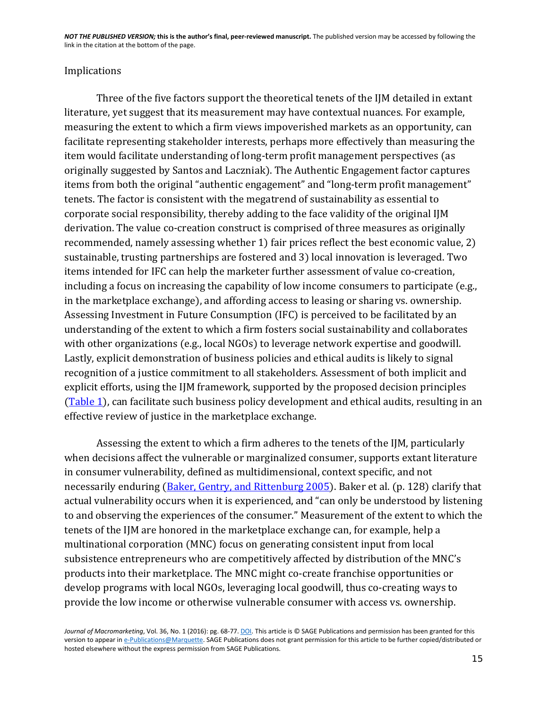### Implications

Three of the five factors support the theoretical tenets of the IJM detailed in extant literature, yet suggest that its measurement may have contextual nuances. For example, measuring the extent to which a firm views impoverished markets as an opportunity, can facilitate representing stakeholder interests, perhaps more effectively than measuring the item would facilitate understanding of long-term profit management perspectives (as originally suggested by Santos and Laczniak). The Authentic Engagement factor captures items from both the original "authentic engagement" and "long-term profit management" tenets. The factor is consistent with the megatrend of sustainability as essential to corporate social responsibility, thereby adding to the face validity of the original IJM derivation. The value co-creation construct is comprised of three measures as originally recommended, namely assessing whether 1) fair prices reflect the best economic value, 2) sustainable, trusting partnerships are fostered and 3) local innovation is leveraged. Two items intended for IFC can help the marketer further assessment of value co-creation, including a focus on increasing the capability of low income consumers to participate (e.g., in the marketplace exchange), and affording access to leasing or sharing vs. ownership. Assessing Investment in Future Consumption (IFC) is perceived to be facilitated by an understanding of the extent to which a firm fosters social sustainability and collaborates with other organizations (e.g., local NGOs) to leverage network expertise and goodwill. Lastly, explicit demonstration of business policies and ethical audits is likely to signal recognition of a justice commitment to all stakeholders. Assessment of both implicit and explicit efforts, using the IJM framework, supported by the proposed decision principles [\(Table 1\)](http://journals.sagepub.com/doi/10.1177/0276146715622666), can facilitate such business policy development and ethical audits, resulting in an effective review of justice in the marketplace exchange.

Assessing the extent to which a firm adheres to the tenets of the IJM, particularly when decisions affect the vulnerable or marginalized consumer, supports extant literature in consumer vulnerability, defined as multidimensional, context specific, and not necessarily enduring [\(Baker, Gentry, and Rittenburg 2005\)](http://journals.sagepub.com/doi/10.1177/0276146715622666). Baker et al. (p. 128) clarify that actual vulnerability occurs when it is experienced, and "can only be understood by listening to and observing the experiences of the consumer." Measurement of the extent to which the tenets of the IJM are honored in the marketplace exchange can, for example, help a multinational corporation (MNC) focus on generating consistent input from local subsistence entrepreneurs who are competitively affected by distribution of the MNC's products into their marketplace. The MNC might co-create franchise opportunities or develop programs with local NGOs, leveraging local goodwill, thus co-creating ways to provide the low income or otherwise vulnerable consumer with access vs. ownership.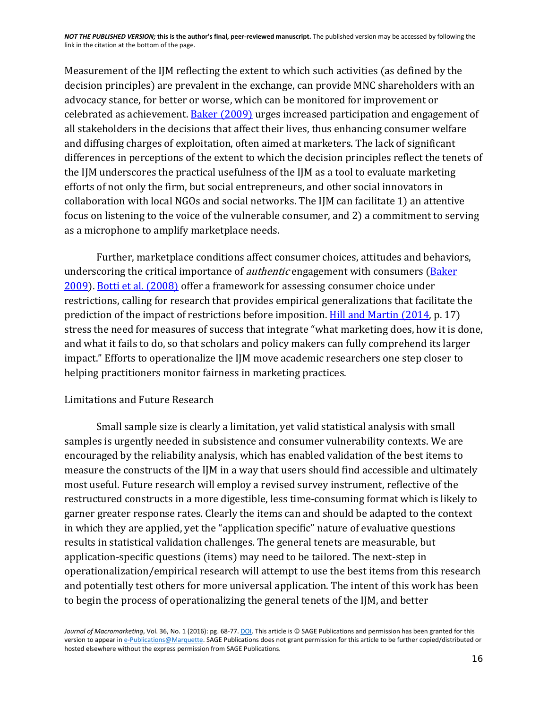Measurement of the IJM reflecting the extent to which such activities (as defined by the decision principles) are prevalent in the exchange, can provide MNC shareholders with an advocacy stance, for better or worse, which can be monitored for improvement or celebrated as achievement. [Baker \(2009\)](http://journals.sagepub.com/doi/10.1177/0276146715622666) urges increased participation and engagement of all stakeholders in the decisions that affect their lives, thus enhancing consumer welfare and diffusing charges of exploitation, often aimed at marketers. The lack of significant differences in perceptions of the extent to which the decision principles reflect the tenets of the IJM underscores the practical usefulness of the IJM as a tool to evaluate marketing efforts of not only the firm, but social entrepreneurs, and other social innovators in collaboration with local NGOs and social networks. The IJM can facilitate 1) an attentive focus on listening to the voice of the vulnerable consumer, and 2) a commitment to serving as a microphone to amplify marketplace needs.

Further, marketplace conditions affect consumer choices, attitudes and behaviors, underscoring the critical importance of authentic engagement with consumers [\(Baker](http://journals.sagepub.com/doi/10.1177/0276146715622666)  [2009\). Botti et al. \(2008\)](http://journals.sagepub.com/doi/10.1177/0276146715622666) offer a framework for assessing consumer choice under restrictions, calling for research that provides empirical generalizations that facilitate the prediction of the impact of restrictions before imposition. [Hill and Martin \(2014,](http://journals.sagepub.com/doi/10.1177/0276146715622666) p. 17) stress the need for measures of success that integrate "what marketing does, how it is done, and what it fails to do, so that scholars and policy makers can fully comprehend its larger impact." Efforts to operationalize the IJM move academic researchers one step closer to helping practitioners monitor fairness in marketing practices.

### Limitations and Future Research

Small sample size is clearly a limitation, yet valid statistical analysis with small samples is urgently needed in subsistence and consumer vulnerability contexts. We are encouraged by the reliability analysis, which has enabled validation of the best items to measure the constructs of the IJM in a way that users should find accessible and ultimately most useful. Future research will employ a revised survey instrument, reflective of the restructured constructs in a more digestible, less time-consuming format which is likely to garner greater response rates. Clearly the items can and should be adapted to the context in which they are applied, yet the "application specific" nature of evaluative questions results in statistical validation challenges. The general tenets are measurable, but application-specific questions (items) may need to be tailored. The next-step in operationalization/empirical research will attempt to use the best items from this research and potentially test others for more universal application. The intent of this work has been to begin the process of operationalizing the general tenets of the IJM, and better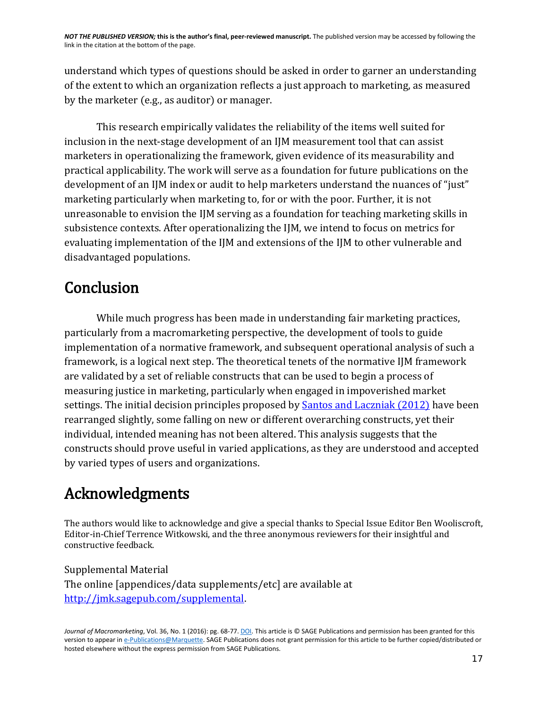understand which types of questions should be asked in order to garner an understanding of the extent to which an organization reflects a just approach to marketing, as measured by the marketer (e.g., as auditor) or manager.

This research empirically validates the reliability of the items well suited for inclusion in the next-stage development of an IJM measurement tool that can assist marketers in operationalizing the framework, given evidence of its measurability and practical applicability. The work will serve as a foundation for future publications on the development of an IJM index or audit to help marketers understand the nuances of "just" marketing particularly when marketing to, for or with the poor. Further, it is not unreasonable to envision the IJM serving as a foundation for teaching marketing skills in subsistence contexts. After operationalizing the IJM, we intend to focus on metrics for evaluating implementation of the IJM and extensions of the IJM to other vulnerable and disadvantaged populations.

## **Conclusion**

While much progress has been made in understanding fair marketing practices, particularly from a macromarketing perspective, the development of tools to guide implementation of a normative framework, and subsequent operational analysis of such a framework, is a logical next step. The theoretical tenets of the normative IJM framework are validated by a set of reliable constructs that can be used to begin a process of measuring justice in marketing, particularly when engaged in impoverished market settings. The initial decision principles proposed by **Santos and Laczniak (2012)** have been rearranged slightly, some falling on new or different overarching constructs, yet their individual, intended meaning has not been altered. This analysis suggests that the constructs should prove useful in varied applications, as they are understood and accepted by varied types of users and organizations.

## Acknowledgments

The authors would like to acknowledge and give a special thanks to Special Issue Editor Ben Wooliscroft, Editor-in-Chief Terrence Witkowski, and the three anonymous reviewers for their insightful and constructive feedback.

Supplemental Material The online [appendices/data supplements/etc] are available at [http://jmk.sagepub.com/supplemental.](http://jmk.sagepub.com/supplemental)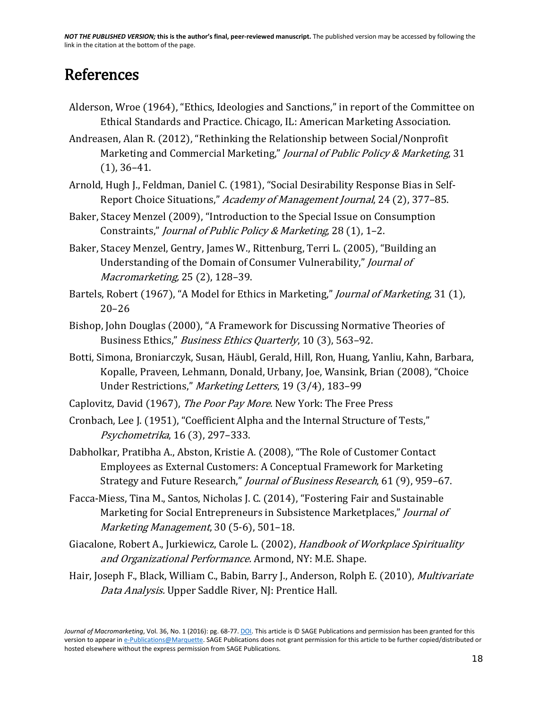## **References**

- Alderson, Wroe (1964), "Ethics, Ideologies and Sanctions," in report of the Committee on Ethical Standards and Practice. Chicago, IL: American Marketing Association.
- Andreasen, Alan R. (2012), "Rethinking the Relationship between Social/Nonprofit Marketing and Commercial Marketing," Journal of Public Policy & Marketing, 31 (1), 36–41.
- Arnold, Hugh J., Feldman, Daniel C. (1981), "Social Desirability Response Bias in Self-Report Choice Situations," Academy of Management Journal, 24 (2), 377–85.
- Baker, Stacey Menzel (2009), "Introduction to the Special Issue on Consumption Constraints," Journal of Public Policy & Marketing, 28 (1), 1–2.
- Baker, Stacey Menzel, Gentry, James W., Rittenburg, Terri L. (2005), "Building an Understanding of the Domain of Consumer Vulnerability," Journal of Macromarketing, 25 (2), 128–39.
- Bartels, Robert (1967), "A Model for Ethics in Marketing," *Journal of Marketing*, 31 (1), 20–26
- Bishop, John Douglas (2000), "A Framework for Discussing Normative Theories of Business Ethics," Business Ethics Quarterly, 10 (3), 563–92.
- Botti, Simona, Broniarczyk, Susan, Häubl, Gerald, Hill, Ron, Huang, Yanliu, Kahn, Barbara, Kopalle, Praveen, Lehmann, Donald, Urbany, Joe, Wansink, Brian (2008), "Choice Under Restrictions," Marketing Letters, 19 (3/4), 183–99
- Caplovitz, David (1967), The Poor Pay More. New York: The Free Press
- Cronbach, Lee J. (1951), "Coefficient Alpha and the Internal Structure of Tests," Psychometrika, 16 (3), 297–333.
- Dabholkar, Pratibha A., Abston, Kristie A. (2008), "The Role of Customer Contact Employees as External Customers: A Conceptual Framework for Marketing Strategy and Future Research," Journal of Business Research, 61 (9), 959-67.
- Facca-Miess, Tina M., Santos, Nicholas J. C. (2014), "Fostering Fair and Sustainable Marketing for Social Entrepreneurs in Subsistence Marketplaces," Journal of Marketing Management, 30 (5-6), 501–18.
- Giacalone, Robert A., Jurkiewicz, Carole L. (2002), Handbook of Workplace Spirituality and Organizational Performance. Armond, NY: M.E. Shape.
- Hair, Joseph F., Black, William C., Babin, Barry J., Anderson, Rolph E. (2010), *Multivariate* Data Analysis. Upper Saddle River, NJ: Prentice Hall.

*Journal of Macromarketing*, Vol. 36, No. 1 (2016): pg. 68-77[. DOI.](https://doi.org/10.1177/0276146715622666) This article is © SAGE Publications and permission has been granted for this version to appear in [e-Publications@Marquette.](http://epublications.marquette.edu/) SAGE Publications does not grant permission for this article to be further copied/distributed or hosted elsewhere without the express permission from SAGE Publications.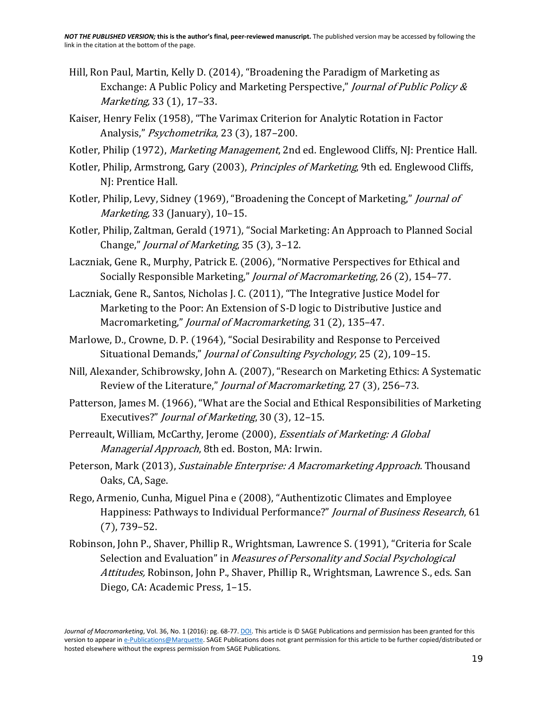- Hill, Ron Paul, Martin, Kelly D. (2014), "Broadening the Paradigm of Marketing as Exchange: A Public Policy and Marketing Perspective," Journal of Public Policy & Marketing, 33 (1), 17–33.
- Kaiser, Henry Felix (1958), "The Varimax Criterion for Analytic Rotation in Factor Analysis," Psychometrika, 23 (3), 187–200.
- Kotler, Philip (1972), Marketing Management, 2nd ed. Englewood Cliffs, NJ: Prentice Hall.
- Kotler, Philip, Armstrong, Gary (2003), *Principles of Marketing*, 9th ed. Englewood Cliffs, NJ: Prentice Hall.
- Kotler, Philip, Levy, Sidney (1969), "Broadening the Concept of Marketing," Journal of Marketing, 33 (January), 10–15.
- Kotler, Philip, Zaltman, Gerald (1971), "Social Marketing: An Approach to Planned Social Change," Journal of Marketing, 35 (3), 3–12.
- Laczniak, Gene R., Murphy, Patrick E. (2006), "Normative Perspectives for Ethical and Socially Responsible Marketing," Journal of Macromarketing, 26 (2), 154–77.
- Laczniak, Gene R., Santos, Nicholas J. C. (2011), "The Integrative Justice Model for Marketing to the Poor: An Extension of S-D logic to Distributive Justice and Macromarketing," Journal of Macromarketing, 31 (2), 135–47.
- Marlowe, D., Crowne, D. P. (1964), "Social Desirability and Response to Perceived Situational Demands," Journal of Consulting Psychology, 25 (2), 109–15.
- Nill, Alexander, Schibrowsky, John A. (2007), "Research on Marketing Ethics: A Systematic Review of the Literature," Journal of Macromarketing, 27 (3), 256–73.
- Patterson, James M. (1966), "What are the Social and Ethical Responsibilities of Marketing Executives?" Journal of Marketing, 30 (3), 12–15.
- Perreault, William, McCarthy, Jerome (2000), Essentials of Marketing: A Global Managerial Approach, 8th ed. Boston, MA: Irwin.
- Peterson, Mark (2013), Sustainable Enterprise: A Macromarketing Approach. Thousand Oaks, CA, Sage.
- Rego, Armenio, Cunha, Miguel Pina e (2008), "Authentizotic Climates and Employee Happiness: Pathways to Individual Performance?" Journal of Business Research, 61 (7), 739–52.
- Robinson, John P., Shaver, Phillip R., Wrightsman, Lawrence S. (1991), "Criteria for Scale Selection and Evaluation" in *Measures of Personality and Social Psychological* Attitudes, Robinson, John P., Shaver, Phillip R., Wrightsman, Lawrence S., eds. San Diego, CA: Academic Press, 1–15.

*Journal of Macromarketing*, Vol. 36, No. 1 (2016): pg. 68-77[. DOI.](https://doi.org/10.1177/0276146715622666) This article is © SAGE Publications and permission has been granted for this version to appear in [e-Publications@Marquette.](http://epublications.marquette.edu/) SAGE Publications does not grant permission for this article to be further copied/distributed or hosted elsewhere without the express permission from SAGE Publications.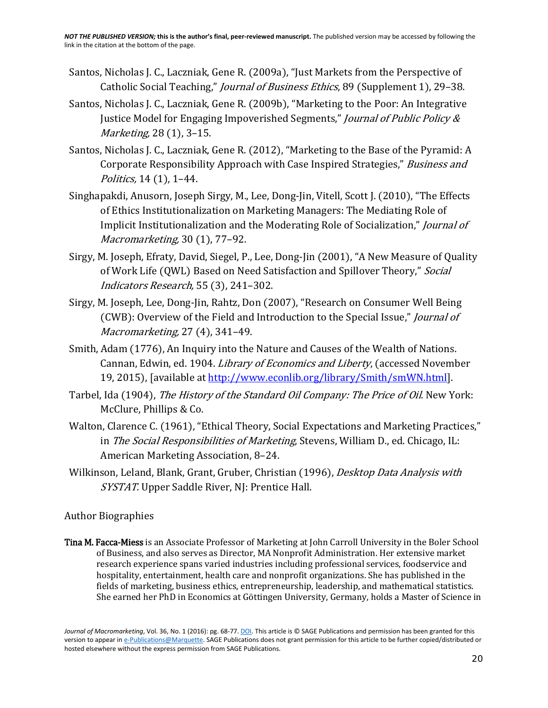- Santos, Nicholas J. C., Laczniak, Gene R. (2009a), "Just Markets from the Perspective of Catholic Social Teaching," *Journal of Business Ethics*, 89 (Supplement 1), 29-38.
- Santos, Nicholas J. C., Laczniak, Gene R. (2009b), "Marketing to the Poor: An Integrative Justice Model for Engaging Impoverished Segments," Journal of Public Policy & Marketing, 28 (1), 3–15.
- Santos, Nicholas J. C., Laczniak, Gene R. (2012), "Marketing to the Base of the Pyramid: A Corporate Responsibility Approach with Case Inspired Strategies," Business and Politics, 14 (1), 1–44.
- Singhapakdi, Anusorn, Joseph Sirgy, M., Lee, Dong-Jin, Vitell, Scott J. (2010), "The Effects of Ethics Institutionalization on Marketing Managers: The Mediating Role of Implicit Institutionalization and the Moderating Role of Socialization," Journal of Macromarketing, 30 (1), 77-92.
- Sirgy, M. Joseph, Efraty, David, Siegel, P., Lee, Dong-Jin (2001), "A New Measure of Quality of Work Life (QWL) Based on Need Satisfaction and Spillover Theory," Social Indicators Research, 55 (3), 241–302.
- Sirgy, M. Joseph, Lee, Dong-Jin, Rahtz, Don (2007), "Research on Consumer Well Being (CWB): Overview of the Field and Introduction to the Special Issue," Journal of Macromarketing, 27 (4), 341–49.
- Smith, Adam (1776), An Inquiry into the Nature and Causes of the Wealth of Nations. Cannan, Edwin, ed. 1904. Library of Economics and Liberty, (accessed November 19, 2015), [available at [http://www.econlib.org/library/Smith/smWN.html\]](http://www.econlib.org/library/Smith/smWN.html).
- Tarbel, Ida (1904), The History of the Standard Oil Company: The Price of Oil. New York: McClure, Phillips & Co.
- Walton, Clarence C. (1961), "Ethical Theory, Social Expectations and Marketing Practices," in The Social Responsibilities of Marketing, Stevens, William D., ed. Chicago, IL: American Marketing Association, 8–24.
- Wilkinson, Leland, Blank, Grant, Gruber, Christian (1996), Desktop Data Analysis with SYSTAT. Upper Saddle River, NJ: Prentice Hall.

### Author Biographies

Tina M. Facca-Miess is an Associate Professor of Marketing at John Carroll University in the Boler School of Business, and also serves as Director, MA Nonprofit Administration. Her extensive market research experience spans varied industries including professional services, foodservice and hospitality, entertainment, health care and nonprofit organizations. She has published in the fields of marketing, business ethics, entrepreneurship, leadership, and mathematical statistics. She earned her PhD in Economics at Göttingen University, Germany, holds a Master of Science in

Journal of Macromarketing, Vol. 36, No. 1 (2016): pg. 68-77[. DOI.](https://doi.org/10.1177/0276146715622666) This article is © SAGE Publications and permission has been granted for this version to appear in [e-Publications@Marquette.](http://epublications.marquette.edu/) SAGE Publications does not grant permission for this article to be further copied/distributed or hosted elsewhere without the express permission from SAGE Publications.